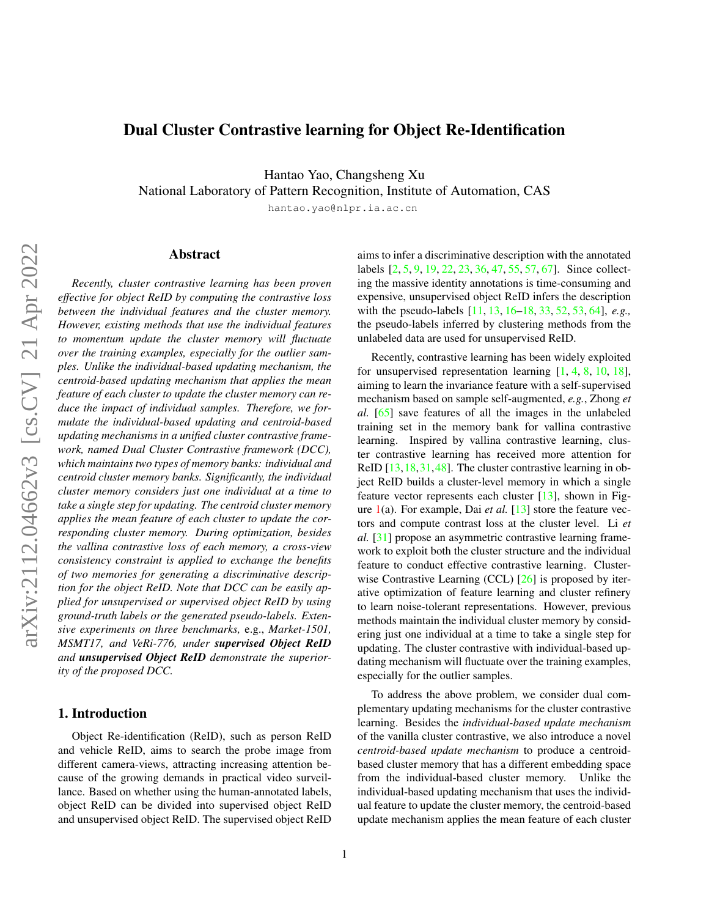# <span id="page-0-0"></span>Dual Cluster Contrastive learning for Object Re-Identification

Hantao Yao, Changsheng Xu

National Laboratory of Pattern Recognition, Institute of Automation, CAS

hantao.yao@nlpr.ia.ac.cn

# Abstract

*Recently, cluster contrastive learning has been proven effective for object ReID by computing the contrastive loss between the individual features and the cluster memory. However, existing methods that use the individual features to momentum update the cluster memory will fluctuate over the training examples, especially for the outlier samples. Unlike the individual-based updating mechanism, the centroid-based updating mechanism that applies the mean feature of each cluster to update the cluster memory can reduce the impact of individual samples. Therefore, we formulate the individual-based updating and centroid-based updating mechanisms in a unified cluster contrastive framework, named Dual Cluster Contrastive framework (DCC), which maintains two types of memory banks: individual and centroid cluster memory banks. Significantly, the individual cluster memory considers just one individual at a time to take a single step for updating. The centroid cluster memory applies the mean feature of each cluster to update the corresponding cluster memory. During optimization, besides the vallina contrastive loss of each memory, a cross-view consistency constraint is applied to exchange the benefits of two memories for generating a discriminative description for the object ReID. Note that DCC can be easily applied for unsupervised or supervised object ReID by using ground-truth labels or the generated pseudo-labels. Extensive experiments on three benchmarks,* e.g., *Market-1501, MSMT17, and VeRi-776, under supervised Object ReID and unsupervised Object ReID demonstrate the superiority of the proposed DCC.*

# 1. Introduction

Object Re-identification (ReID), such as person ReID and vehicle ReID, aims to search the probe image from different camera-views, attracting increasing attention because of the growing demands in practical video surveillance. Based on whether using the human-annotated labels, object ReID can be divided into supervised object ReID and unsupervised object ReID. The supervised object ReID

aims to infer a discriminative description with the annotated labels [\[2,](#page-9-0) [5,](#page-9-1) [9,](#page-9-2) [19,](#page-10-0) [22,](#page-10-1) [23,](#page-10-2) [36,](#page-10-3) [47,](#page-11-0) [55,](#page-11-1) [57,](#page-11-2) [67\]](#page-11-3). Since collecting the massive identity annotations is time-consuming and expensive, unsupervised object ReID infers the description with the pseudo-labels [\[11,](#page-9-3) [13,](#page-9-4) [16](#page-9-5)[–18,](#page-10-4) [33,](#page-10-5) [52,](#page-11-4) [53,](#page-11-5) [64\]](#page-11-6), *e.g.,* the pseudo-labels inferred by clustering methods from the unlabeled data are used for unsupervised ReID.

Recently, contrastive learning has been widely exploited for unsupervised representation learning [\[1,](#page-9-6) [4,](#page-9-7) [8,](#page-9-8) [10,](#page-9-9) [18\]](#page-10-4), aiming to learn the invariance feature with a self-supervised mechanism based on sample self-augmented, *e.g.*, Zhong *et al.* [\[65\]](#page-11-7) save features of all the images in the unlabeled training set in the memory bank for vallina contrastive learning. Inspired by vallina contrastive learning, cluster contrastive learning has received more attention for ReID [\[13,](#page-9-4) [18,](#page-10-4) [31,](#page-10-6) [48\]](#page-11-8). The cluster contrastive learning in object ReID builds a cluster-level memory in which a single feature vector represents each cluster [\[13\]](#page-9-4), shown in Figure [1\(](#page-1-0)a). For example, Dai *et al.* [\[13\]](#page-9-4) store the feature vectors and compute contrast loss at the cluster level. Li *et al.* [\[31\]](#page-10-6) propose an asymmetric contrastive learning framework to exploit both the cluster structure and the individual feature to conduct effective contrastive learning. Clusterwise Contrastive Learning (CCL) [\[26\]](#page-10-7) is proposed by iterative optimization of feature learning and cluster refinery to learn noise-tolerant representations. However, previous methods maintain the individual cluster memory by considering just one individual at a time to take a single step for updating. The cluster contrastive with individual-based updating mechanism will fluctuate over the training examples, especially for the outlier samples.

To address the above problem, we consider dual complementary updating mechanisms for the cluster contrastive learning. Besides the *individual-based update mechanism* of the vanilla cluster contrastive, we also introduce a novel *centroid-based update mechanism* to produce a centroidbased cluster memory that has a different embedding space from the individual-based cluster memory. Unlike the individual-based updating mechanism that uses the individual feature to update the cluster memory, the centroid-based update mechanism applies the mean feature of each cluster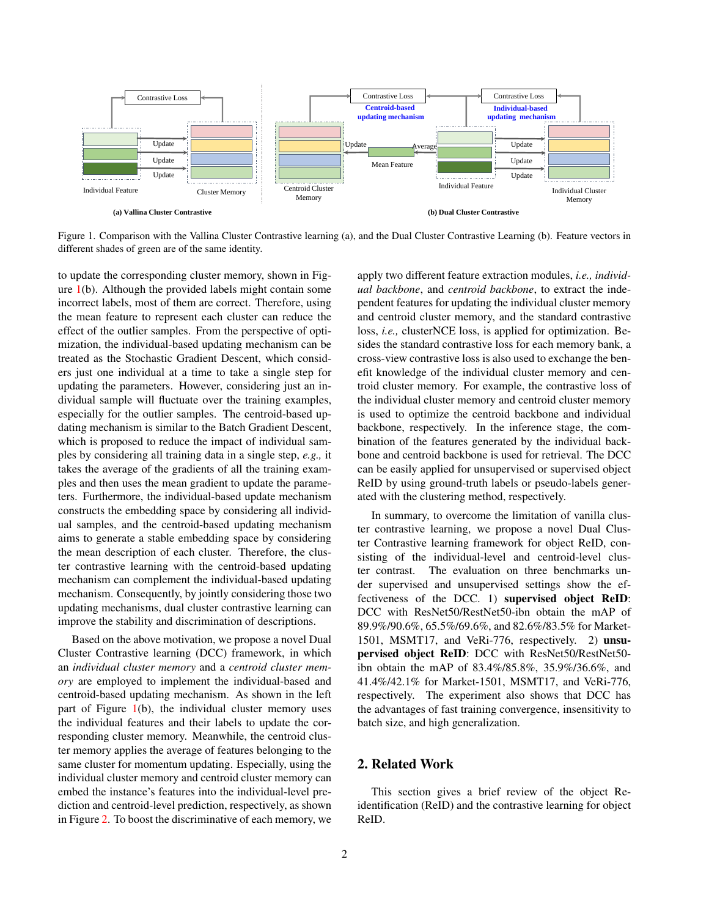<span id="page-1-0"></span>

Figure 1. Comparison with the Vallina Cluster Contrastive learning (a), and the Dual Cluster Contrastive Learning (b). Feature vectors in different shades of green are of the same identity.

to update the corresponding cluster memory, shown in Figure [1\(](#page-1-0)b). Although the provided labels might contain some incorrect labels, most of them are correct. Therefore, using the mean feature to represent each cluster can reduce the effect of the outlier samples. From the perspective of optimization, the individual-based updating mechanism can be treated as the Stochastic Gradient Descent, which considers just one individual at a time to take a single step for updating the parameters. However, considering just an individual sample will fluctuate over the training examples, especially for the outlier samples. The centroid-based updating mechanism is similar to the Batch Gradient Descent, which is proposed to reduce the impact of individual samples by considering all training data in a single step, *e.g.,* it takes the average of the gradients of all the training examples and then uses the mean gradient to update the parameters. Furthermore, the individual-based update mechanism constructs the embedding space by considering all individual samples, and the centroid-based updating mechanism aims to generate a stable embedding space by considering the mean description of each cluster. Therefore, the cluster contrastive learning with the centroid-based updating mechanism can complement the individual-based updating mechanism. Consequently, by jointly considering those two updating mechanisms, dual cluster contrastive learning can improve the stability and discrimination of descriptions.

Based on the above motivation, we propose a novel Dual Cluster Contrastive learning (DCC) framework, in which an *individual cluster memory* and a *centroid cluster memory* are employed to implement the individual-based and centroid-based updating mechanism. As shown in the left part of Figure [1\(](#page-1-0)b), the individual cluster memory uses the individual features and their labels to update the corresponding cluster memory. Meanwhile, the centroid cluster memory applies the average of features belonging to the same cluster for momentum updating. Especially, using the individual cluster memory and centroid cluster memory can embed the instance's features into the individual-level prediction and centroid-level prediction, respectively, as shown in Figure [2.](#page-2-0) To boost the discriminative of each memory, we

apply two different feature extraction modules, *i.e., individual backbone*, and *centroid backbone*, to extract the independent features for updating the individual cluster memory and centroid cluster memory, and the standard contrastive loss, *i.e.,* clusterNCE loss, is applied for optimization. Besides the standard contrastive loss for each memory bank, a cross-view contrastive loss is also used to exchange the benefit knowledge of the individual cluster memory and centroid cluster memory. For example, the contrastive loss of the individual cluster memory and centroid cluster memory is used to optimize the centroid backbone and individual backbone, respectively. In the inference stage, the combination of the features generated by the individual backbone and centroid backbone is used for retrieval. The DCC can be easily applied for unsupervised or supervised object ReID by using ground-truth labels or pseudo-labels generated with the clustering method, respectively.

In summary, to overcome the limitation of vanilla cluster contrastive learning, we propose a novel Dual Cluster Contrastive learning framework for object ReID, consisting of the individual-level and centroid-level cluster contrast. The evaluation on three benchmarks under supervised and unsupervised settings show the effectiveness of the DCC. 1) supervised object ReID: DCC with ResNet50/RestNet50-ibn obtain the mAP of 89.9%/90.6%, 65.5%/69.6%, and 82.6%/83.5% for Market-1501, MSMT17, and VeRi-776, respectively. 2) unsupervised object ReID: DCC with ResNet50/RestNet50 ibn obtain the mAP of 83.4%/85.8%, 35.9%/36.6%, and 41.4%/42.1% for Market-1501, MSMT17, and VeRi-776, respectively. The experiment also shows that DCC has the advantages of fast training convergence, insensitivity to batch size, and high generalization.

# 2. Related Work

This section gives a brief review of the object Reidentification (ReID) and the contrastive learning for object ReID.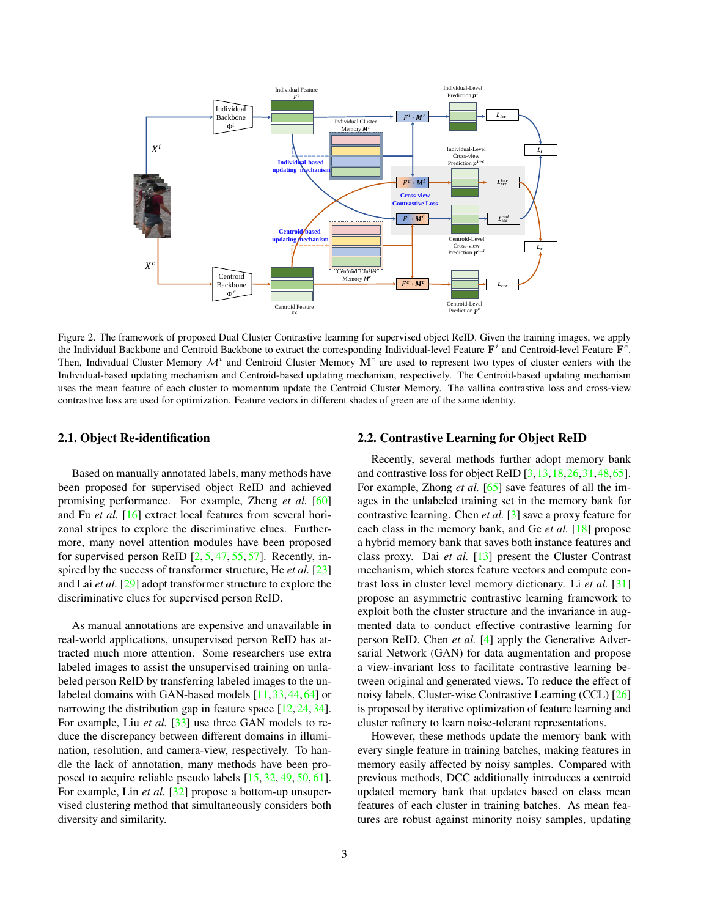<span id="page-2-1"></span><span id="page-2-0"></span>

Figure 2. The framework of proposed Dual Cluster Contrastive learning for supervised object ReID. Given the training images, we apply the Individual Backbone and Centroid Backbone to extract the corresponding Individual-level Feature  $F^i$  and Centroid-level Feature  $F^c$ . Then, Individual Cluster Memory  $\mathcal{M}^i$  and Centroid Cluster Memory  $\mathbf{M}^c$  are used to represent two types of cluster centers with the Individual-based updating mechanism and Centroid-based updating mechanism, respectively. The Centroid-based updating mechanism uses the mean feature of each cluster to momentum update the Centroid Cluster Memory. The vallina contrastive loss and cross-view contrastive loss are used for optimization. Feature vectors in different shades of green are of the same identity.

#### 2.1. Object Re-identification

Based on manually annotated labels, many methods have been proposed for supervised object ReID and achieved promising performance. For example, Zheng *et al.* [\[60\]](#page-11-9) and Fu *et al.* [\[16\]](#page-9-5) extract local features from several horizonal stripes to explore the discriminative clues. Furthermore, many novel attention modules have been proposed for supervised person ReID  $[2, 5, 47, 55, 57]$  $[2, 5, 47, 55, 57]$  $[2, 5, 47, 55, 57]$  $[2, 5, 47, 55, 57]$  $[2, 5, 47, 55, 57]$  $[2, 5, 47, 55, 57]$  $[2, 5, 47, 55, 57]$  $[2, 5, 47, 55, 57]$  $[2, 5, 47, 55, 57]$ . Recently, inspired by the success of transformer structure, He *et al.* [\[23\]](#page-10-2) and Lai *et al.* [\[29\]](#page-10-8) adopt transformer structure to explore the discriminative clues for supervised person ReID.

As manual annotations are expensive and unavailable in real-world applications, unsupervised person ReID has attracted much more attention. Some researchers use extra labeled images to assist the unsupervised training on unlabeled person ReID by transferring labeled images to the un-labeled domains with GAN-based models [\[11,](#page-9-3)[33,](#page-10-5)[44,](#page-10-9)[64\]](#page-11-6) or narrowing the distribution gap in feature space [\[12,](#page-9-10) [24,](#page-10-10) [34\]](#page-10-11). For example, Liu *et al.* [\[33\]](#page-10-5) use three GAN models to reduce the discrepancy between different domains in illumination, resolution, and camera-view, respectively. To handle the lack of annotation, many methods have been proposed to acquire reliable pseudo labels [\[15,](#page-9-11) [32,](#page-10-12) [49,](#page-11-10) [50,](#page-11-11) [61\]](#page-11-12). For example, Lin *et al.* [\[32\]](#page-10-12) propose a bottom-up unsupervised clustering method that simultaneously considers both diversity and similarity.

## 2.2. Contrastive Learning for Object ReID

Recently, several methods further adopt memory bank and contrastive loss for object ReID [\[3,](#page-9-12)[13,](#page-9-4)[18,](#page-10-4)[26,](#page-10-7)[31,](#page-10-6)[48,](#page-11-8)[65\]](#page-11-7). For example, Zhong *et al.* [\[65\]](#page-11-7) save features of all the images in the unlabeled training set in the memory bank for contrastive learning. Chen *et al.* [\[3\]](#page-9-12) save a proxy feature for each class in the memory bank, and Ge *et al.* [\[18\]](#page-10-4) propose a hybrid memory bank that saves both instance features and class proxy. Dai *et al.* [\[13\]](#page-9-4) present the Cluster Contrast mechanism, which stores feature vectors and compute contrast loss in cluster level memory dictionary. Li *et al.* [\[31\]](#page-10-6) propose an asymmetric contrastive learning framework to exploit both the cluster structure and the invariance in augmented data to conduct effective contrastive learning for person ReID. Chen *et al.* [\[4\]](#page-9-7) apply the Generative Adversarial Network (GAN) for data augmentation and propose a view-invariant loss to facilitate contrastive learning between original and generated views. To reduce the effect of noisy labels, Cluster-wise Contrastive Learning (CCL) [\[26\]](#page-10-7) is proposed by iterative optimization of feature learning and cluster refinery to learn noise-tolerant representations.

However, these methods update the memory bank with every single feature in training batches, making features in memory easily affected by noisy samples. Compared with previous methods, DCC additionally introduces a centroid updated memory bank that updates based on class mean features of each cluster in training batches. As mean features are robust against minority noisy samples, updating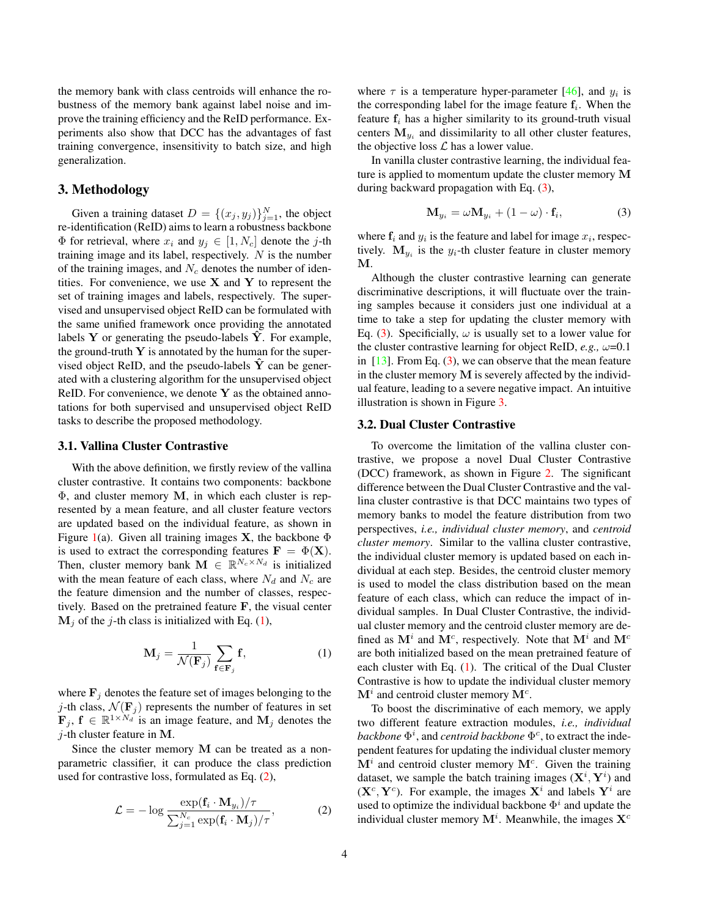<span id="page-3-4"></span>the memory bank with class centroids will enhance the robustness of the memory bank against label noise and improve the training efficiency and the ReID performance. Experiments also show that DCC has the advantages of fast training convergence, insensitivity to batch size, and high generalization.

# 3. Methodology

Given a training dataset  $D = \{(x_j, y_j)\}_{j=1}^N$ , the object re-identification (ReID) aims to learn a robustness backbone  $\Phi$  for retrieval, where  $x_i$  and  $y_j \in [1, N_c]$  denote the j-th training image and its label, respectively.  $N$  is the number of the training images, and  $N_c$  denotes the number of identities. For convenience, we use  $X$  and  $Y$  to represent the set of training images and labels, respectively. The supervised and unsupervised object ReID can be formulated with the same unified framework once providing the annotated labels  $Y$  or generating the pseudo-labels  $Y$ . For example, the ground-truth  $Y$  is annotated by the human for the supervised object ReID, and the pseudo-labels  $Y$  can be generated with a clustering algorithm for the unsupervised object ReID. For convenience, we denote  $Y$  as the obtained annotations for both supervised and unsupervised object ReID tasks to describe the proposed methodology.

## <span id="page-3-3"></span>3.1. Vallina Cluster Contrastive

With the above definition, we firstly review of the vallina cluster contrastive. It contains two components: backbone Φ, and cluster memory M, in which each cluster is represented by a mean feature, and all cluster feature vectors are updated based on the individual feature, as shown in Figure [1\(](#page-1-0)a). Given all training images **X**, the backbone  $\Phi$ is used to extract the corresponding features  $\mathbf{F} = \Phi(\mathbf{X})$ . Then, cluster memory bank  $\mathbf{M} \in \mathbb{R}^{N_c \times N_d}$  is initialized with the mean feature of each class, where  $N_d$  and  $N_c$  are the feature dimension and the number of classes, respectively. Based on the pretrained feature F, the visual center  $M_i$  of the *j*-th class is initialized with Eq. [\(1\)](#page-3-0),

$$
\mathbf{M}_{j} = \frac{1}{\mathcal{N}(\mathbf{F}_{j})} \sum_{\mathbf{f} \in \mathbf{F}_{j}} \mathbf{f}, \tag{1}
$$

where  $\mathbf{F}_i$  denotes the feature set of images belonging to the j-th class,  $\mathcal{N}(\mathbf{F}_j)$  represents the number of features in set  $\mathbf{F}_j, \, \mathbf{f} \in \mathbb{R}^{1 \times N_d}$  is an image feature, and  $\mathbf{M}_j$  denotes the  $j$ -th cluster feature in M.

Since the cluster memory M can be treated as a nonparametric classifier, it can produce the class prediction used for contrastive loss, formulated as Eq. [\(2\)](#page-3-1),

$$
\mathcal{L} = -\log \frac{\exp(\mathbf{f}_i \cdot \mathbf{M}_{y_i})/\tau}{\sum_{j=1}^{N_c} \exp(\mathbf{f}_i \cdot \mathbf{M}_j)/\tau},
$$
 (2)

where  $\tau$  is a temperature hyper-parameter [\[46\]](#page-11-13), and  $y_i$  is the corresponding label for the image feature  $f_i$ . When the feature  $f_i$  has a higher similarity to its ground-truth visual centers  $M_{y_i}$  and dissimilarity to all other cluster features, the objective loss  $\mathcal L$  has a lower value.

In vanilla cluster contrastive learning, the individual feature is applied to momentum update the cluster memory M during backward propagation with Eq. [\(3\)](#page-3-2),

<span id="page-3-2"></span>
$$
\mathbf{M}_{y_i} = \omega \mathbf{M}_{y_i} + (1 - \omega) \cdot \mathbf{f}_i, \tag{3}
$$

where  $f_i$  and  $y_i$  is the feature and label for image  $x_i$ , respectively.  $M_{y_i}$  is the  $y_i$ -th cluster feature in cluster memory M.

Although the cluster contrastive learning can generate discriminative descriptions, it will fluctuate over the training samples because it considers just one individual at a time to take a step for updating the cluster memory with Eq. [\(3\)](#page-3-2). Specificially,  $\omega$  is usually set to a lower value for the cluster contrastive learning for object ReID,  $e.g., \omega=0.1$ in  $[13]$ . From Eq.  $(3)$ , we can observe that the mean feature in the cluster memory  $M$  is severely affected by the individual feature, leading to a severe negative impact. An intuitive illustration is shown in Figure [3.](#page-4-0)

### 3.2. Dual Cluster Contrastive

To overcome the limitation of the vallina cluster contrastive, we propose a novel Dual Cluster Contrastive (DCC) framework, as shown in Figure [2.](#page-2-0) The significant difference between the Dual Cluster Contrastive and the vallina cluster contrastive is that DCC maintains two types of memory banks to model the feature distribution from two perspectives, *i.e., individual cluster memory*, and *centroid cluster memory*. Similar to the vallina cluster contrastive, the individual cluster memory is updated based on each individual at each step. Besides, the centroid cluster memory is used to model the class distribution based on the mean feature of each class, which can reduce the impact of individual samples. In Dual Cluster Contrastive, the individual cluster memory and the centroid cluster memory are defined as  $M^i$  and  $M^c$ , respectively. Note that  $M^i$  and  $M^c$ are both initialized based on the mean pretrained feature of each cluster with Eq. [\(1\)](#page-3-0). The critical of the Dual Cluster Contrastive is how to update the individual cluster memory  $\mathbf{M}^i$  and centroid cluster memory  $\mathbf{M}^c$ .

<span id="page-3-1"></span><span id="page-3-0"></span>To boost the discriminative of each memory, we apply two different feature extraction modules, *i.e., individual backbone*  $\Phi^i$ , and *centroid backbone*  $\Phi^c$ , to extract the independent features for updating the individual cluster memory  $\mathbf{M}^i$  and centroid cluster memory  $\mathbf{M}^c$ . Given the training dataset, we sample the batch training images  $(X^i, Y^i)$  and  $(X^c, Y^c)$ . For example, the images  $X^i$  and labels  $Y^i$  are used to optimize the individual backbone  $\Phi^i$  and update the individual cluster memory  $\mathbf{M}^i$ . Meanwhile, the images  $\mathbf{X}^c$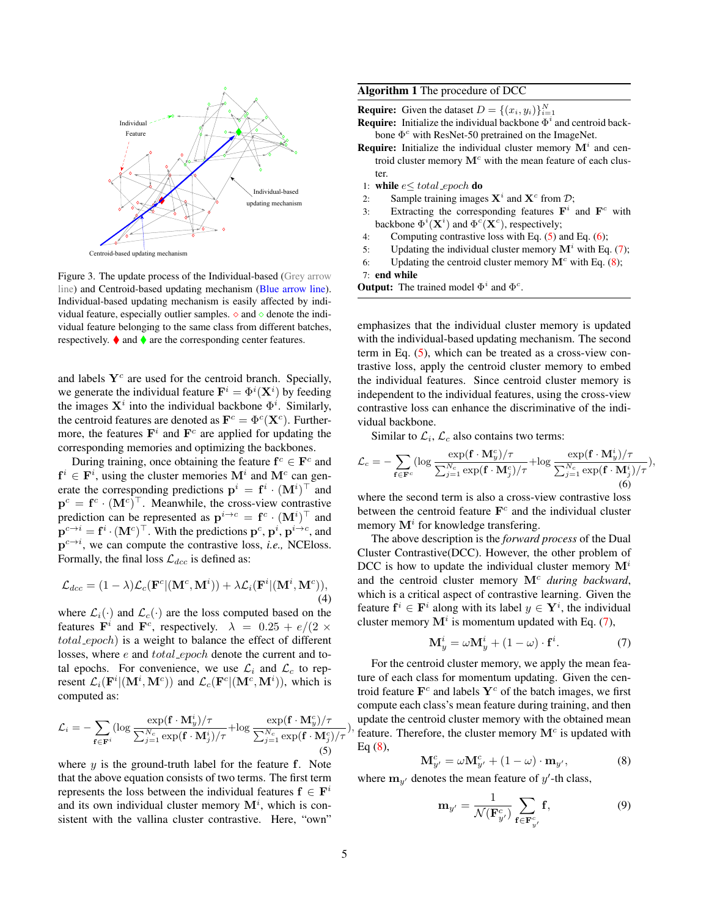<span id="page-4-0"></span>

Figure 3. The update process of the Individual-based (Grey arrow line) and Centroid-based updating mechanism (Blue arrow line). Individual-based updating mechanism is easily affected by individual feature, especially outlier samples.  $\diamond$  and  $\diamond$  denote the individual feature belonging to the same class from different batches, respectively.  $\blacklozenge$  and  $\blacklozenge$  are the corresponding center features.

and labels  $Y<sup>c</sup>$  are used for the centroid branch. Specially, we generate the individual feature  $\mathbf{F}^i = \Phi^i(\mathbf{X}^i)$  by feeding the images  $X^i$  into the individual backbone  $\Phi^i$ . Similarly, the centroid features are denoted as  $\mathbf{F}^c = \Phi^c(\mathbf{X}^c)$ . Furthermore, the features  $\mathbf{F}^i$  and  $\mathbf{F}^c$  are applied for updating the corresponding memories and optimizing the backbones.

During training, once obtaining the feature  $f^c \in \mathbf{F}^c$  and  $f^i \in F^i$ , using the cluster memories  $M^i$  and  $M^c$  can generate the corresponding predictions  $\mathbf{p}^i = \mathbf{f}^i \cdot (\mathbf{M}^i)^\top$  and  $\mathbf{p}^c = \mathbf{f}^c \cdot (\mathbf{M}^c)^\top$ . Meanwhile, the cross-view contrastive prediction can be represented as  $\mathbf{p}^{i\rightarrow c} = \mathbf{f}^c \cdot (\mathbf{M}^i)^\top$  and  $\mathbf{p}^{c \to i} = \mathbf{f}^i \cdot (\mathbf{M}^c)^\top$ . With the predictions  $\mathbf{p}^c$ ,  $\mathbf{p}^i$ ,  $\mathbf{p}^{i \to c}$ , and  $p^{c \rightarrow i}$ , we can compute the contrastive loss, *i.e.*, NCEloss. Formally, the final loss  $\mathcal{L}_{dec}$  is defined as:

$$
\mathcal{L}_{dcc} = (1 - \lambda)\mathcal{L}_c(\mathbf{F}^c | (\mathbf{M}^c, \mathbf{M}^i)) + \lambda \mathcal{L}_i(\mathbf{F}^i | (\mathbf{M}^i, \mathbf{M}^c)),
$$
\n(4)

where  $\mathcal{L}_i(\cdot)$  and  $\mathcal{L}_c(\cdot)$  are the loss computed based on the features  $\mathbf{F}^i$  and  $\mathbf{F}^c$ , respectively.  $\lambda = 0.25 + e/(2 \times$ total epoch) is a weight to balance the effect of different losses, where e and total\_epoch denote the current and total epochs. For convenience, we use  $\mathcal{L}_i$  and  $\mathcal{L}_c$  to represent  $\mathcal{L}_i(\mathbf{F}^i | (\mathbf{M}^i, \mathbf{M}^c))$  and  $\mathcal{L}_c(\mathbf{F}^c | (\mathbf{M}^c, \mathbf{M}^i))$ , which is computed as:

<span id="page-4-1"></span>
$$
\mathcal{L}_{i} = -\sum_{\mathbf{f} \in \mathbf{F}^{i}} (\log \frac{\exp(\mathbf{f} \cdot \mathbf{M}_{y}^{i}) / \tau}{\sum_{j=1}^{N_{c}} \exp(\mathbf{f} \cdot \mathbf{M}_{j}^{i}) / \tau} + \log \frac{\exp(\mathbf{f} \cdot \mathbf{M}_{y}^{c}) / \tau}{\sum_{j=1}^{N_{c}} \exp(\mathbf{f} \cdot \mathbf{M}_{j}^{c}) / \tau}
$$
\n(5)

where  $y$  is the ground-truth label for the feature  $f$ . Note that the above equation consists of two terms. The first term represents the loss between the individual features  $f \in F^i$ and its own individual cluster memory  $M<sup>i</sup>$ , which is consistent with the vallina cluster contrastive. Here, "own"

## Algorithm 1 The procedure of DCC

**Require:** Given the dataset  $D = \{(x_i, y_i)\}_{i=1}^N$ 

**Require:** Initialize the individual backbone  $\Phi^i$  and centroid backbone  $\Phi^c$  with ResNet-50 pretrained on the ImageNet.

- **Require:** Initialize the individual cluster memory  $M<sup>i</sup>$  and centroid cluster memory  $M<sup>c</sup>$  with the mean feature of each cluster.
- 1: while  $e \leq total\_epoch$  do
- 2: Sample training images  $X^i$  and  $X^c$  from  $\mathcal{D}$ ;
- 3: Extracting the corresponding features  $\mathbf{F}^i$  and  $\mathbf{F}^c$  with backbone  $\Phi^i(\mathbf{X}^i)$  and  $\Phi^c(\mathbf{X}^c)$ , respectively;
- 4: Computing contrastive loss with Eq. [\(5\)](#page-4-1) and Eq. [\(6\)](#page-4-2);
- 5: Updating the individual cluster memory  $M^i$  with Eq. [\(7\)](#page-4-3);
- 6: Updating the centroid cluster memory  $M<sup>c</sup>$  with Eq. [\(8\)](#page-4-4);

<span id="page-4-5"></span>7: end while

**Output:** The trained model  $\Phi^i$  and  $\Phi^c$ .

emphasizes that the individual cluster memory is updated with the individual-based updating mechanism. The second term in Eq. [\(5\)](#page-4-1), which can be treated as a cross-view contrastive loss, apply the centroid cluster memory to embed the individual features. Since centroid cluster memory is independent to the individual features, using the cross-view contrastive loss can enhance the discriminative of the individual backbone.

<span id="page-4-2"></span>Similar to  $\mathcal{L}_i$ ,  $\mathcal{L}_c$  also contains two terms:

$$
\mathcal{L}_c = -\sum_{\mathbf{f} \in \mathbf{F}^c} (\log \frac{\exp(\mathbf{f} \cdot \mathbf{M}_y^c)/\tau}{\sum_{j=1}^{N_c} \exp(\mathbf{f} \cdot \mathbf{M}_j^c)/\tau} + \log \frac{\exp(\mathbf{f} \cdot \mathbf{M}_y^i)/\tau}{\sum_{j=1}^{N_c} \exp(\mathbf{f} \cdot \mathbf{M}_j^i)/\tau}),
$$
(6)

where the second term is also a cross-view contrastive loss between the centroid feature  $\mathbf{F}^c$  and the individual cluster memory  $M^i$  for knowledge transfering.

The above description is the *forward process* of the Dual Cluster Contrastive(DCC). However, the other problem of DCC is how to update the individual cluster memory  $M^{i}$ and the centroid cluster memory  $M<sup>c</sup>$  *during backward*, which is a critical aspect of contrastive learning. Given the feature  $f^i \in F^i$  along with its label  $y \in Y^i$ , the individual cluster memory  $M^i$  is momentum updated with Eq. [\(7\)](#page-4-3),

<span id="page-4-3"></span>
$$
\mathbf{M}_y^i = \omega \mathbf{M}_y^i + (1 - \omega) \cdot \mathbf{f}^i. \tag{7}
$$

), feature. Therefore, the cluster memory  $\mathbf{M}^c$  is updated with For the centroid cluster memory, we apply the mean feature of each class for momentum updating. Given the centroid feature  $\mathbf{F}^c$  and labels  $\mathbf{Y}^c$  of the batch images, we first compute each class's mean feature during training, and then update the centroid cluster memory with the obtained mean Eq  $(8)$ ,

<span id="page-4-4"></span>
$$
\mathbf{M}_{y'}^c = \omega \mathbf{M}_{y'}^c + (1 - \omega) \cdot \mathbf{m}_{y'}, \tag{8}
$$

where  $\mathbf{m}_{y'}$  denotes the mean feature of y'-th class,

$$
\mathbf{m}_{y'} = \frac{1}{\mathcal{N}(\mathbf{F}_{y'}^c)} \sum_{\mathbf{f} \in \mathbf{F}_{y'}^c} \mathbf{f},\tag{9}
$$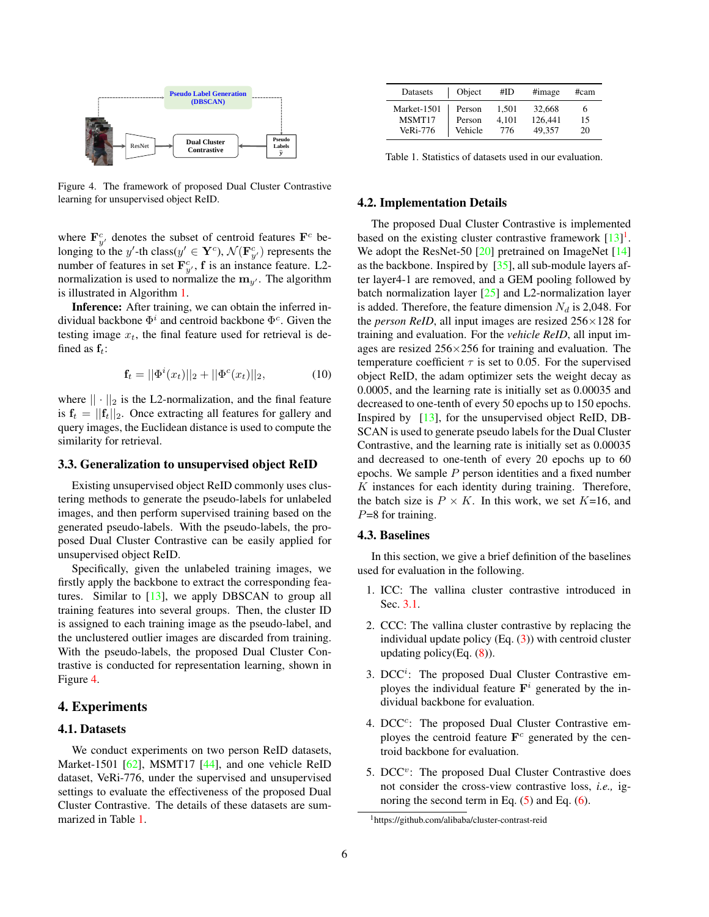<span id="page-5-3"></span><span id="page-5-0"></span>

Figure 4. The framework of proposed Dual Cluster Contrastive learning for unsupervised object ReID.

where  $\mathbf{F}_{y}^{c}$  denotes the subset of centroid features  $\mathbf{F}^{c}$  belonging to the y'-th class( $y' \in \mathbf{Y}^c$ ),  $\mathcal{N}(\mathbf{F}_{y'}^c)$  represents the number of features in set  $\mathbf{F}_{y'}^c$ , f is an instance feature. L2normalization is used to normalize the  $m_{y'}$ . The algorithm is illustrated in Algorithm [1.](#page-4-5)

Inference: After training, we can obtain the inferred individual backbone  $\Phi^i$  and centroid backbone  $\Phi^c$ . Given the testing image  $x_t$ , the final feature used for retrieval is defined as  $f_t$ :

$$
\mathbf{f}_t = ||\Phi^i(x_t)||_2 + ||\Phi^c(x_t)||_2, \tag{10}
$$

where  $|| \cdot ||_2$  is the L2-normalization, and the final feature is  $f_t = ||f_t||_2$ . Once extracting all features for gallery and query images, the Euclidean distance is used to compute the similarity for retrieval.

#### 3.3. Generalization to unsupervised object ReID

Existing unsupervised object ReID commonly uses clustering methods to generate the pseudo-labels for unlabeled images, and then perform supervised training based on the generated pseudo-labels. With the pseudo-labels, the proposed Dual Cluster Contrastive can be easily applied for unsupervised object ReID.

Specifically, given the unlabeled training images, we firstly apply the backbone to extract the corresponding features. Similar to [\[13\]](#page-9-4), we apply DBSCAN to group all training features into several groups. Then, the cluster ID is assigned to each training image as the pseudo-label, and the unclustered outlier images are discarded from training. With the pseudo-labels, the proposed Dual Cluster Contrastive is conducted for representation learning, shown in Figure [4.](#page-5-0)

# 4. Experiments

## 4.1. Datasets

We conduct experiments on two person ReID datasets, Market-1501 [\[62\]](#page-11-14), MSMT17 [\[44\]](#page-10-9), and one vehicle ReID dataset, VeRi-776, under the supervised and unsupervised settings to evaluate the effectiveness of the proposed Dual Cluster Contrastive. The details of these datasets are summarized in Table [1.](#page-5-1)

<span id="page-5-1"></span>

| Datasets                             | Object                      | #ID                   | #image                      | #cam     |
|--------------------------------------|-----------------------------|-----------------------|-----------------------------|----------|
| Market-1501<br>MSMT17<br>$Ve$ Ri-776 | Person<br>Person<br>Vehicle | 1.501<br>4.101<br>776 | 32.668<br>126,441<br>49.357 | 15<br>20 |

Table 1. Statistics of datasets used in our evaluation.

### 4.2. Implementation Details

The proposed Dual Cluster Contrastive is implemented based on the existing cluster contrastive framework  $[13]$ <sup>[1](#page-5-2)</sup>. We adopt the ResNet-50 [\[20\]](#page-10-13) pretrained on ImageNet [\[14\]](#page-9-13) as the backbone. Inspired by [\[35\]](#page-10-14), all sub-module layers after layer4-1 are removed, and a GEM pooling followed by batch normalization layer  $[25]$  and L2-normalization layer is added. Therefore, the feature dimension  $N_d$  is 2,048. For the *person ReID*, all input images are resized 256×128 for training and evaluation. For the *vehicle ReID*, all input images are resized  $256\times256$  for training and evaluation. The temperature coefficient  $\tau$  is set to 0.05. For the supervised object ReID, the adam optimizer sets the weight decay as 0.0005, and the learning rate is initially set as 0.00035 and decreased to one-tenth of every 50 epochs up to 150 epochs. Inspired by [\[13\]](#page-9-4), for the unsupervised object ReID, DB-SCAN is used to generate pseudo labels for the Dual Cluster Contrastive, and the learning rate is initially set as 0.00035 and decreased to one-tenth of every 20 epochs up to 60 epochs. We sample  $P$  person identities and a fixed number  $K$  instances for each identity during training. Therefore, the batch size is  $P \times K$ . In this work, we set  $K=16$ , and  $P=8$  for training.

#### 4.3. Baselines

In this section, we give a brief definition of the baselines used for evaluation in the following.

- 1. ICC: The vallina cluster contrastive introduced in Sec. [3.1.](#page-3-3)
- 2. CCC: The vallina cluster contrastive by replacing the individual update policy  $(Eq. (3))$  $(Eq. (3))$  $(Eq. (3))$  with centroid cluster updating policy(Eq.  $(8)$ ).
- 3. DCC<sup>i</sup>: The proposed Dual Cluster Contrastive employes the individual feature  $F^i$  generated by the individual backbone for evaluation.
- 4. DCC<sup>c</sup>: The proposed Dual Cluster Contrastive employes the centroid feature  $\mathbf{F}^c$  generated by the centroid backbone for evaluation.
- 5. DCC<sup>v</sup>: The proposed Dual Cluster Contrastive does not consider the cross-view contrastive loss, *i.e.,* ignoring the second term in Eq.  $(5)$  and Eq.  $(6)$ .

<span id="page-5-2"></span><sup>1</sup>https://github.com/alibaba/cluster-contrast-reid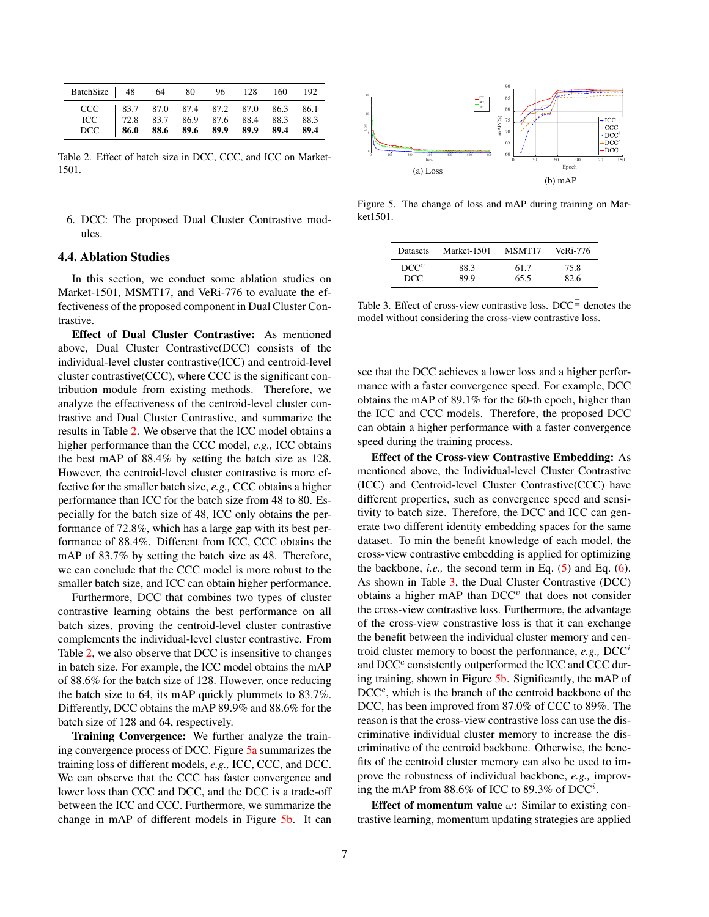<span id="page-6-0"></span>

| BatchSize   48 64 80 96 128 160 192                                                                                                                                                                                                                                                            |  |  |  |  |
|------------------------------------------------------------------------------------------------------------------------------------------------------------------------------------------------------------------------------------------------------------------------------------------------|--|--|--|--|
| $\begin{array}{c cccccc} \text{CCC} & 83.7 & 87.0 & 87.4 & 87.2 & 87.0 & 86.3 & 86.1 \\ \text{ICC} & 72.8 & 83.7 & 86.9 & 87.6 & 88.4 & 88.3 & 88.3 \\ \text{DCC} & \textbf{86.0} & \textbf{88.6} & \textbf{89.6} & \textbf{89.9} & \textbf{89.9} & \textbf{89.4} & \textbf{89.4} \end{array}$ |  |  |  |  |

Table 2. Effect of batch size in DCC, CCC, and ICC on Market-1501.

6. DCC: The proposed Dual Cluster Contrastive modules.

## 4.4. Ablation Studies

In this section, we conduct some ablation studies on Market-1501, MSMT17, and VeRi-776 to evaluate the effectiveness of the proposed component in Dual Cluster Contrastive.

Effect of Dual Cluster Contrastive: As mentioned above, Dual Cluster Contrastive(DCC) consists of the individual-level cluster contrastive(ICC) and centroid-level cluster contrastive(CCC), where CCC is the significant contribution module from existing methods. Therefore, we analyze the effectiveness of the centroid-level cluster contrastive and Dual Cluster Contrastive, and summarize the results in Table [2.](#page-6-0) We observe that the ICC model obtains a higher performance than the CCC model, *e.g.,* ICC obtains the best mAP of 88.4% by setting the batch size as 128. However, the centroid-level cluster contrastive is more effective for the smaller batch size, *e.g.,* CCC obtains a higher performance than ICC for the batch size from 48 to 80. Especially for the batch size of 48, ICC only obtains the performance of 72.8%, which has a large gap with its best performance of 88.4%. Different from ICC, CCC obtains the mAP of 83.7% by setting the batch size as 48. Therefore, we can conclude that the CCC model is more robust to the smaller batch size, and ICC can obtain higher performance.

Furthermore, DCC that combines two types of cluster contrastive learning obtains the best performance on all batch sizes, proving the centroid-level cluster contrastive complements the individual-level cluster contrastive. From Table [2,](#page-6-0) we also observe that DCC is insensitive to changes in batch size. For example, the ICC model obtains the mAP of 88.6% for the batch size of 128. However, once reducing the batch size to 64, its mAP quickly plummets to 83.7%. Differently, DCC obtains the mAP 89.9% and 88.6% for the batch size of 128 and 64, respectively.

Training Convergence: We further analyze the training convergence process of DCC. Figure [5a](#page-6-1) summarizes the training loss of different models, *e.g.,* ICC, CCC, and DCC. We can observe that the CCC has faster convergence and lower loss than CCC and DCC, and the DCC is a trade-off between the ICC and CCC. Furthermore, we summarize the change in mAP of different models in Figure [5b.](#page-6-1) It can

<span id="page-6-1"></span>

<span id="page-6-2"></span>Figure 5. The change of loss and mAP during training on Market1501.

|         | Datasets   Market-1501 | MSMT17 | $Ve$ Ri-776 |
|---------|------------------------|--------|-------------|
| $DCC^v$ | 88.3                   | 61.7   | 75.8        |
| DCC.    | 89.9                   | 65.5   | 82.6        |

Table 3. Effect of cross-view contrastive loss. DCC $\subseteq$  denotes the model without considering the cross-view contrastive loss.

see that the DCC achieves a lower loss and a higher performance with a faster convergence speed. For example, DCC obtains the mAP of 89.1% for the 60-th epoch, higher than the ICC and CCC models. Therefore, the proposed DCC can obtain a higher performance with a faster convergence speed during the training process.

Effect of the Cross-view Contrastive Embedding: As mentioned above, the Individual-level Cluster Contrastive (ICC) and Centroid-level Cluster Contrastive(CCC) have different properties, such as convergence speed and sensitivity to batch size. Therefore, the DCC and ICC can generate two different identity embedding spaces for the same dataset. To min the benefit knowledge of each model, the cross-view contrastive embedding is applied for optimizing the backbone, *i.e.,* the second term in Eq. [\(5\)](#page-4-1) and Eq. [\(6\)](#page-4-2). As shown in Table [3,](#page-6-2) the Dual Cluster Contrastive (DCC) obtains a higher mAP than  $DCC<sup>v</sup>$  that does not consider the cross-view contrastive loss. Furthermore, the advantage of the cross-view constrastive loss is that it can exchange the benefit between the individual cluster memory and centroid cluster memory to boost the performance, *e.g.,* DCC<sup>i</sup> and DCC<sup>c</sup> consistently outperformed the ICC and CCC during training, shown in Figure [5b.](#page-6-1) Significantly, the mAP of  $DCC<sup>c</sup>$ , which is the branch of the centroid backbone of the DCC, has been improved from 87.0% of CCC to 89%. The reason is that the cross-view contrastive loss can use the discriminative individual cluster memory to increase the discriminative of the centroid backbone. Otherwise, the benefits of the centroid cluster memory can also be used to improve the robustness of individual backbone, *e.g.,* improving the mAP from 88.6% of ICC to 89.3% of DCC<sup>i</sup>.

Effect of momentum value  $\omega$ : Similar to existing contrastive learning, momentum updating strategies are applied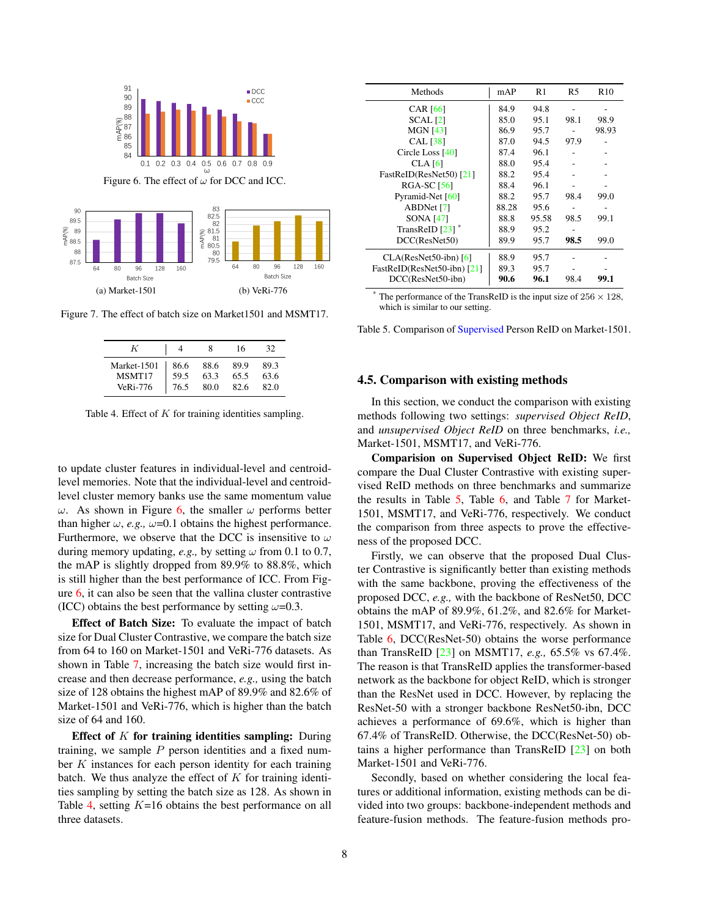<span id="page-7-4"></span><span id="page-7-0"></span>

<span id="page-7-2"></span>Figure 7. The effect of batch size on Market1501 and MSMT17.

(b) VeRi-776

<span id="page-7-1"></span>(a) Market-1501

| K           |      | x    | 16   | 32.  |
|-------------|------|------|------|------|
| Market-1501 | 86.6 | 88.6 | 89.9 | 89.3 |
| MSMT17      | 59.5 | 63.3 | 65.5 | 63.6 |
| $Ve$ Ri-776 | 76.5 | 80.0 | 82.6 | 82.0 |

Table 4. Effect of  $K$  for training identities sampling.

to update cluster features in individual-level and centroidlevel memories. Note that the individual-level and centroidlevel cluster memory banks use the same momentum value ω. As shown in Figure [6,](#page-7-0) the smaller  $ω$  performs better than higher  $\omega$ , *e.g.*,  $\omega$ =0.1 obtains the highest performance. Furthermore, we observe that the DCC is insensitive to  $\omega$ during memory updating, *e.g.*, by setting  $\omega$  from 0.1 to 0.7, the mAP is slightly dropped from 89.9% to 88.8%, which is still higher than the best performance of ICC. From Figure [6,](#page-7-0) it can also be seen that the vallina cluster contrastive (ICC) obtains the best performance by setting  $\omega$ =0.3.

Effect of Batch Size: To evaluate the impact of batch size for Dual Cluster Contrastive, we compare the batch size from 64 to 160 on Market-1501 and VeRi-776 datasets. As shown in Table [7,](#page-7-1) increasing the batch size would first increase and then decrease performance, *e.g.,* using the batch size of 128 obtains the highest mAP of 89.9% and 82.6% of Market-1501 and VeRi-776, which is higher than the batch size of 64 and 160.

Effect of  $K$  for training identities sampling: During training, we sample  $P$  person identities and a fixed number  $K$  instances for each person identity for each training batch. We thus analyze the effect of  $K$  for training identities sampling by setting the batch size as 128. As shown in Table [4,](#page-7-2) setting  $K=16$  obtains the best performance on all three datasets.

<span id="page-7-3"></span>

| Methods                     | mAP   | R <sub>1</sub> | R5   | R <sub>10</sub> |
|-----------------------------|-------|----------------|------|-----------------|
| <b>CAR</b> [66]             | 84.9  | 94.8           |      |                 |
| SCAL <sub>[2]</sub>         | 85.0  | 95.1           | 98.1 | 98.9            |
| <b>MGN [43]</b>             | 86.9  | 95.7           |      | 98.93           |
| <b>CAL</b> [38]             | 87.0  | 94.5           | 97.9 |                 |
| Circle Loss $[40]$          | 87.4  | 96.1           |      |                 |
| $CLA$ [6]                   | 88.0  | 95.4           |      |                 |
| FastReID(ResNet50) [21]     | 88.2  | 95.4           |      |                 |
| <b>RGA-SC [56]</b>          | 88.4  | 96.1           |      |                 |
| Pyramid-Net $[60]$          | 88.2  | 95.7           | 98.4 | 99.0            |
| ABDNet [7]                  | 88.28 | 95.6           |      |                 |
| SONA [47]                   | 88.8  | 95.58          | 98.5 | 99.1            |
| TransReID [23]              | 88.9  | 95.2           |      |                 |
| DCC(ResNet50)               | 89.9  | 95.7           | 98.5 | 99.0            |
| $CLA(ResNet50-ibn)$ [6]     | 88.9  | 95.7           |      |                 |
| FastReID(ResNet50-ibn) [21] | 89.3  | 95.7           |      |                 |
| DCC(ResNet50-ibn)           | 90.6  | 96.1           | 98.4 | 99.1            |

The performance of the TransReID is the input size of  $256 \times 128$ , which is similar to our setting.

Table 5. Comparison of Supervised Person ReID on Market-1501.

### 4.5. Comparison with existing methods

In this section, we conduct the comparison with existing methods following two settings: *supervised Object ReID*, and *unsupervised Object ReID* on three benchmarks, *i.e.,* Market-1501, MSMT17, and VeRi-776.

Comparision on Supervised Object ReID: We first compare the Dual Cluster Contrastive with existing supervised ReID methods on three benchmarks and summarize the results in Table [5,](#page-7-3) Table [6,](#page-8-0) and Table [7](#page-8-1) for Market-1501, MSMT17, and VeRi-776, respectively. We conduct the comparison from three aspects to prove the effectiveness of the proposed DCC.

Firstly, we can observe that the proposed Dual Cluster Contrastive is significantly better than existing methods with the same backbone, proving the effectiveness of the proposed DCC, *e.g.,* with the backbone of ResNet50, DCC obtains the mAP of 89.9%, 61.2%, and 82.6% for Market-1501, MSMT17, and VeRi-776, respectively. As shown in Table [6,](#page-8-0) DCC(ResNet-50) obtains the worse performance than TransReID [\[23\]](#page-10-2) on MSMT17, *e.g.,* 65.5% vs 67.4%. The reason is that TransReID applies the transformer-based network as the backbone for object ReID, which is stronger than the ResNet used in DCC. However, by replacing the ResNet-50 with a stronger backbone ResNet50-ibn, DCC achieves a performance of 69.6%, which is higher than 67.4% of TransReID. Otherwise, the DCC(ResNet-50) obtains a higher performance than TransReID [\[23\]](#page-10-2) on both Market-1501 and VeRi-776.

Secondly, based on whether considering the local features or additional information, existing methods can be divided into two groups: backbone-independent methods and feature-fusion methods. The feature-fusion methods pro-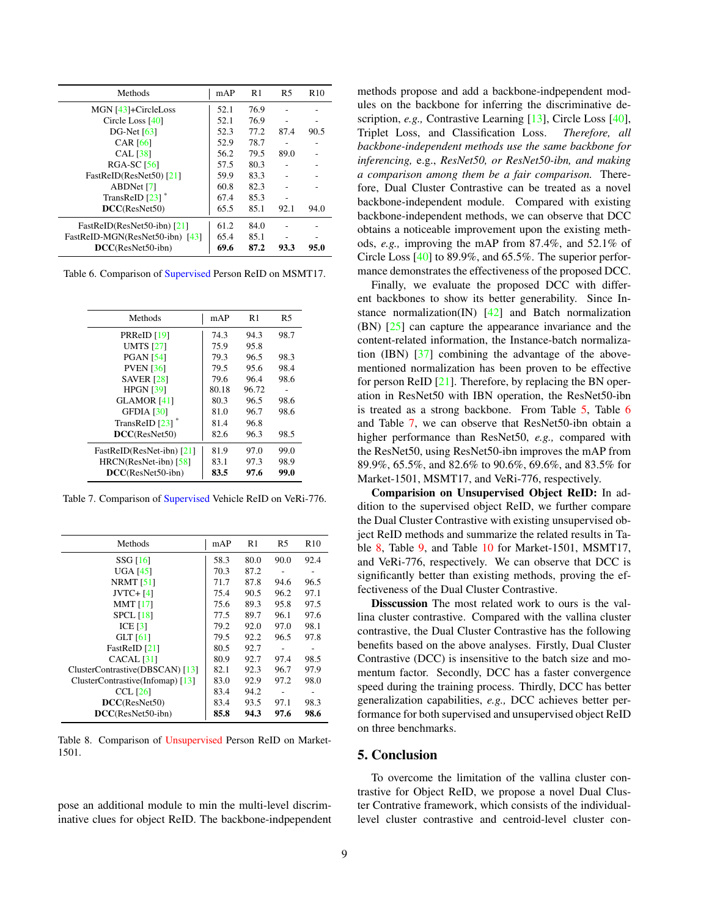<span id="page-8-3"></span><span id="page-8-0"></span>

| Methods                         | mAP  | R <sub>1</sub> | R <sub>5</sub> | R10  |
|---------------------------------|------|----------------|----------------|------|
| MGN [43]+CircleLoss             | 52.1 | 76.9           |                |      |
| Circle Loss $[40]$              | 52.1 | 76.9           |                |      |
| DG-Net $[63]$                   | 52.3 | 77.2           | 87.4           | 90.5 |
| <b>CAR</b> [66]                 | 52.9 | 78.7           |                |      |
| <b>CAL</b> [38]                 | 56.2 | 79.5           | 89.0           |      |
| <b>RGA-SC</b> [56]              | 57.5 | 80.3           |                |      |
| FastReID(ResNet50) [21]         | 59.9 | 83.3           |                |      |
| ABDNet [7]                      | 60.8 | 82.3           |                |      |
| TransReID $[23]$ <sup>*</sup>   | 67.4 | 85.3           |                |      |
| DCC(ResNet50)                   | 65.5 | 85.1           | 92.1           | 94.0 |
| FastReID(ResNet50-ibn) [21]     | 61.2 | 84.0           |                |      |
| FastReID-MGN(ResNet50-ibn) [43] | 65.4 | 85.1           |                |      |
| $DCC(ResNet50-ibn)$             | 69.6 | 87.2           | 93.3           | 95.0 |

Table 6. Comparison of Supervised Person ReID on MSMT17.

<span id="page-8-1"></span>

| Methods                   | mAP   | R1    | R5   |
|---------------------------|-------|-------|------|
| PRReID [19]               | 74.3  | 94.3  | 98.7 |
| <b>UMTS</b> [27]          | 75.9  | 95.8  |      |
| <b>PGAN</b> [54]          | 79.3  | 96.5  | 98.3 |
| <b>PVEN</b> [36]          | 79.5  | 95.6  | 98.4 |
| <b>SAVER</b> [28]         | 79.6  | 96.4  | 98.6 |
| <b>HPGN [39]</b>          | 80.18 | 96.72 |      |
| <b>GLAMOR [41]</b>        | 80.3  | 96.5  | 98.6 |
| GFDIA [30]                | 81.0  | 96.7  | 98.6 |
| TransReID [23]            | 81.4  | 96.8  |      |
| DCC(ResNet50)             | 82.6  | 96.3  | 98.5 |
| FastReID(ResNet-ibn) [21] | 81.9  | 97.0  | 99.0 |
| $HRCN(ResNet-ibn)$ [58]   | 83.1  | 97.3  | 98.9 |
| $DCC(ResNet50-ibn)$       | 83.5  | 97.6  | 99.0 |

Table 7. Comparison of Supervised Vehicle ReID on VeRi-776.

<span id="page-8-2"></span>

| Methods                          | mAP  | R1   | R5   | R10  |
|----------------------------------|------|------|------|------|
| <b>SSG</b> [16]                  | 58.3 | 80.0 | 90.0 | 92.4 |
| <b>UGA [45]</b>                  | 70.3 | 87.2 |      |      |
| NRMT $[51]$                      | 71.7 | 87.8 | 94.6 | 96.5 |
| $JVTC+[4]$                       | 75.4 | 90.5 | 96.2 | 97.1 |
| MMT $[17]$                       | 75.6 | 89.3 | 95.8 | 97.5 |
| $SPCL$ [18]                      | 77.5 | 89.7 | 96.1 | 97.6 |
| ICE $[3]$                        | 79.2 | 92.0 | 97.0 | 98.1 |
| <b>GLT</b> [61]                  | 79.5 | 92.2 | 96.5 | 97.8 |
| FastReID [21]                    | 80.5 | 92.7 | ٠    |      |
| CACAL [31]                       | 80.9 | 92.7 | 97.4 | 98.5 |
| ClusterContrastive(DBSCAN) [13]  | 82.1 | 92.3 | 96.7 | 97.9 |
| ClusterContrastive(Infomap) [13] | 83.0 | 92.9 | 97.2 | 98.0 |
| CCL $[26]$                       | 83.4 | 94.2 |      |      |
| DCC(ResNet50)                    | 83.4 | 93.5 | 97.1 | 98.3 |
| DCC(ResNet50-ibn)                | 85.8 | 94.3 | 97.6 | 98.6 |

Table 8. Comparison of Unsupervised Person ReID on Market-1501.

pose an additional module to min the multi-level discriminative clues for object ReID. The backbone-indpependent methods propose and add a backbone-indpependent modules on the backbone for inferring the discriminative description, *e.g.,* Contrastive Learning [\[13\]](#page-9-4), Circle Loss [\[40\]](#page-10-18), Triplet Loss, and Classification Loss. *Therefore, all backbone-independent methods use the same backbone for inferencing,* e.g., *ResNet50, or ResNet50-ibn, and making a comparison among them be a fair comparison.* Therefore, Dual Cluster Contrastive can be treated as a novel backbone-independent module. Compared with existing backbone-independent methods, we can observe that DCC obtains a noticeable improvement upon the existing methods, *e.g.,* improving the mAP from 87.4%, and 52.1% of Circle Loss [\[40\]](#page-10-18) to 89.9%, and 65.5%. The superior performance demonstrates the effectiveness of the proposed DCC.

Finally, we evaluate the proposed DCC with different backbones to show its better generability. Since Instance normalization(IN)  $[42]$  and Batch normalization (BN) [\[25\]](#page-10-15) can capture the appearance invariance and the content-related information, the Instance-batch normalization (IBN) [\[37\]](#page-10-27) combining the advantage of the abovementioned normalization has been proven to be effective for person ReID [\[21\]](#page-10-19). Therefore, by replacing the BN operation in ResNet50 with IBN operation, the ResNet50-ibn is treated as a strong backbone. From Table [5,](#page-7-3) Table [6](#page-8-0) and Table [7,](#page-8-1) we can observe that ResNet50-ibn obtain a higher performance than ResNet50, *e.g.,* compared with the ResNet50, using ResNet50-ibn improves the mAP from 89.9%, 65.5%, and 82.6% to 90.6%, 69.6%, and 83.5% for Market-1501, MSMT17, and VeRi-776, respectively.

Comparision on Unsupervised Object ReID: In addition to the supervised object ReID, we further compare the Dual Cluster Contrastive with existing unsupervised object ReID methods and summarize the related results in Table [8,](#page-8-2) Table [9,](#page-9-17) and Table [10](#page-9-18) for Market-1501, MSMT17, and VeRi-776, respectively. We can observe that DCC is significantly better than existing methods, proving the effectiveness of the Dual Cluster Contrastive.

Disscussion The most related work to ours is the vallina cluster contrastive. Compared with the vallina cluster contrastive, the Dual Cluster Contrastive has the following benefits based on the above analyses. Firstly, Dual Cluster Contrastive (DCC) is insensitive to the batch size and momentum factor. Secondly, DCC has a faster convergence speed during the training process. Thirdly, DCC has better generalization capabilities, *e.g.,* DCC achieves better performance for both supervised and unsupervised object ReID on three benchmarks.

### 5. Conclusion

To overcome the limitation of the vallina cluster contrastive for Object ReID, we propose a novel Dual Cluster Contrative framework, which consists of the individuallevel cluster contrastive and centroid-level cluster con-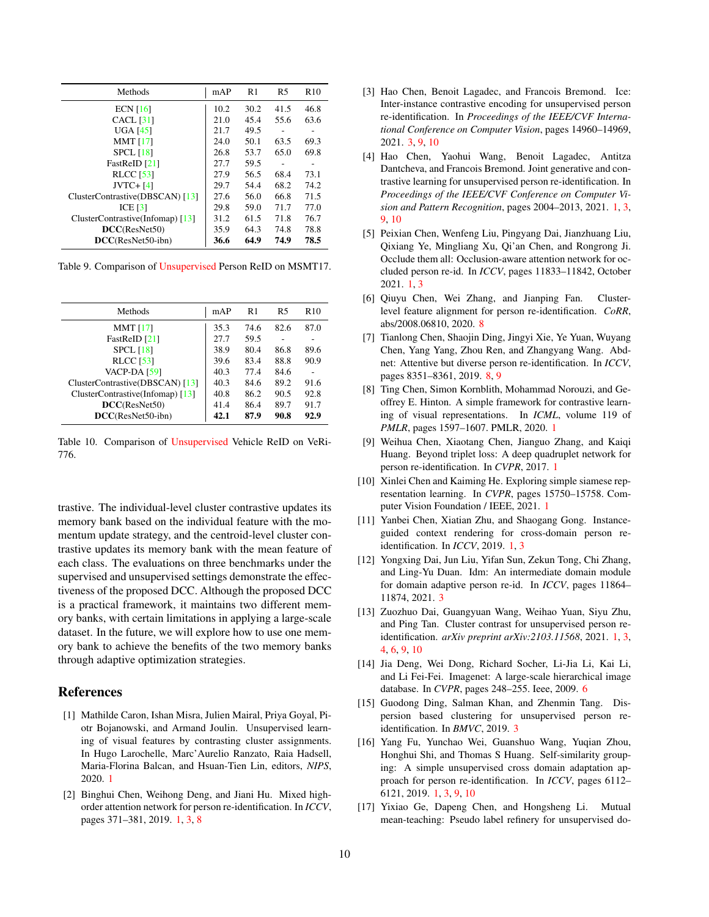<span id="page-9-19"></span><span id="page-9-17"></span>

| Methods                          | mAP  | R <sub>1</sub> | R5   | R10  |
|----------------------------------|------|----------------|------|------|
| ECN $[16]$                       | 10.2 | 30.2           | 41.5 | 46.8 |
| $CACL$ [31]                      | 21.0 | 45.4           | 55.6 | 63.6 |
| UGA [45]                         | 21.7 | 49.5           |      |      |
| <b>MMT</b> [17]                  | 24.0 | 50.1           | 63.5 | 69.3 |
| $SPCL$ [18]                      | 26.8 | 53.7           | 65.0 | 69.8 |
| FastReID [21]                    | 27.7 | 59.5           | ٠    |      |
| <b>RLCC</b> [53]                 | 27.9 | 56.5           | 68.4 | 73.1 |
| $JVTC+[4]$                       | 29.7 | 54.4           | 68.2 | 74.2 |
| ClusterContrastive(DBSCAN) [13]  | 27.6 | 56.0           | 66.8 | 71.5 |
| ICE $[3]$                        | 29.8 | 59.0           | 71.7 | 77.0 |
| ClusterContrastive(Infomap) [13] | 31.2 | 61.5           | 71.8 | 76.7 |
| DCC(ResNet50)                    | 35.9 | 64.3           | 74.8 | 78.8 |
| $DCC(ResNet50-ibn)$              | 36.6 | 64.9           | 74.9 | 78.5 |

Table 9. Comparison of Unsupervised Person ReID on MSMT17.

<span id="page-9-18"></span>

| Methods                            | mAP  | R1   | R5   | R <sub>10</sub> |
|------------------------------------|------|------|------|-----------------|
| MMT $[17]$                         | 35.3 | 74.6 | 82.6 | 87.0            |
| FastReID [21]                      | 27.7 | 59.5 |      |                 |
| $SPCL$ [18]                        | 38.9 | 80.4 | 86.8 | 89.6            |
| <b>RLCC</b> [53]                   | 39.6 | 83.4 | 88.8 | 90.9            |
| <b>VACP-DA</b> [59]                | 40.3 | 77.4 | 84.6 |                 |
| ClusterContrastive(DBSCAN) [13]    | 40.3 | 84.6 | 89.2 | 91.6            |
| ClusterContrastive(Infomap) $[13]$ | 40.8 | 86.2 | 90.5 | 92.8            |
| DCC(ResNet50)                      | 41.4 | 86.4 | 89.7 | 91.7            |
| DCC(ResNet50-ibn)                  | 42.1 | 87.9 | 90.8 | 92.9            |
|                                    |      |      |      |                 |

Table 10. Comparison of Unsupervised Vehicle ReID on VeRi-776.

trastive. The individual-level cluster contrastive updates its memory bank based on the individual feature with the momentum update strategy, and the centroid-level cluster contrastive updates its memory bank with the mean feature of each class. The evaluations on three benchmarks under the supervised and unsupervised settings demonstrate the effectiveness of the proposed DCC. Although the proposed DCC is a practical framework, it maintains two different memory banks, with certain limitations in applying a large-scale dataset. In the future, we will explore how to use one memory bank to achieve the benefits of the two memory banks through adaptive optimization strategies.

## References

- <span id="page-9-6"></span>[1] Mathilde Caron, Ishan Misra, Julien Mairal, Priya Goyal, Piotr Bojanowski, and Armand Joulin. Unsupervised learning of visual features by contrasting cluster assignments. In Hugo Larochelle, Marc'Aurelio Ranzato, Raia Hadsell, Maria-Florina Balcan, and Hsuan-Tien Lin, editors, *NIPS*, 2020. [1](#page-0-0)
- <span id="page-9-0"></span>[2] Binghui Chen, Weihong Deng, and Jiani Hu. Mixed highorder attention network for person re-identification. In *ICCV*, pages 371–381, 2019. [1,](#page-0-0) [3,](#page-2-1) [8](#page-7-4)
- <span id="page-9-12"></span>[3] Hao Chen, Benoit Lagadec, and Francois Bremond. Ice: Inter-instance contrastive encoding for unsupervised person re-identification. In *Proceedings of the IEEE/CVF International Conference on Computer Vision*, pages 14960–14969, 2021. [3,](#page-2-1) [9,](#page-8-3) [10](#page-9-19)
- <span id="page-9-7"></span>[4] Hao Chen, Yaohui Wang, Benoit Lagadec, Antitza Dantcheva, and Francois Bremond. Joint generative and contrastive learning for unsupervised person re-identification. In *Proceedings of the IEEE/CVF Conference on Computer Vision and Pattern Recognition*, pages 2004–2013, 2021. [1,](#page-0-0) [3,](#page-2-1) [9,](#page-8-3) [10](#page-9-19)
- <span id="page-9-1"></span>[5] Peixian Chen, Wenfeng Liu, Pingyang Dai, Jianzhuang Liu, Qixiang Ye, Mingliang Xu, Qi'an Chen, and Rongrong Ji. Occlude them all: Occlusion-aware attention network for occluded person re-id. In *ICCV*, pages 11833–11842, October 2021. [1,](#page-0-0) [3](#page-2-1)
- <span id="page-9-14"></span>[6] Qiuyu Chen, Wei Zhang, and Jianping Fan. Clusterlevel feature alignment for person re-identification. *CoRR*, abs/2008.06810, 2020. [8](#page-7-4)
- <span id="page-9-15"></span>[7] Tianlong Chen, Shaojin Ding, Jingyi Xie, Ye Yuan, Wuyang Chen, Yang Yang, Zhou Ren, and Zhangyang Wang. Abdnet: Attentive but diverse person re-identification. In *ICCV*, pages 8351–8361, 2019. [8,](#page-7-4) [9](#page-8-3)
- <span id="page-9-8"></span>[8] Ting Chen, Simon Kornblith, Mohammad Norouzi, and Geoffrey E. Hinton. A simple framework for contrastive learning of visual representations. In *ICML*, volume 119 of *PMLR*, pages 1597–1607. PMLR, 2020. [1](#page-0-0)
- <span id="page-9-2"></span>[9] Weihua Chen, Xiaotang Chen, Jianguo Zhang, and Kaiqi Huang. Beyond triplet loss: A deep quadruplet network for person re-identification. In *CVPR*, 2017. [1](#page-0-0)
- <span id="page-9-9"></span>[10] Xinlei Chen and Kaiming He. Exploring simple siamese representation learning. In *CVPR*, pages 15750–15758. Computer Vision Foundation / IEEE, 2021. [1](#page-0-0)
- <span id="page-9-3"></span>[11] Yanbei Chen, Xiatian Zhu, and Shaogang Gong. Instanceguided context rendering for cross-domain person reidentification. In *ICCV*, 2019. [1,](#page-0-0) [3](#page-2-1)
- <span id="page-9-10"></span>[12] Yongxing Dai, Jun Liu, Yifan Sun, Zekun Tong, Chi Zhang, and Ling-Yu Duan. Idm: An intermediate domain module for domain adaptive person re-id. In *ICCV*, pages 11864– 11874, 2021. [3](#page-2-1)
- <span id="page-9-4"></span>[13] Zuozhuo Dai, Guangyuan Wang, Weihao Yuan, Siyu Zhu, and Ping Tan. Cluster contrast for unsupervised person reidentification. *arXiv preprint arXiv:2103.11568*, 2021. [1,](#page-0-0) [3,](#page-2-1) [4,](#page-3-4) [6,](#page-5-3) [9,](#page-8-3) [10](#page-9-19)
- <span id="page-9-13"></span>[14] Jia Deng, Wei Dong, Richard Socher, Li-Jia Li, Kai Li, and Li Fei-Fei. Imagenet: A large-scale hierarchical image database. In *CVPR*, pages 248–255. Ieee, 2009. [6](#page-5-3)
- <span id="page-9-11"></span>[15] Guodong Ding, Salman Khan, and Zhenmin Tang. Dispersion based clustering for unsupervised person reidentification. In *BMVC*, 2019. [3](#page-2-1)
- <span id="page-9-5"></span>[16] Yang Fu, Yunchao Wei, Guanshuo Wang, Yuqian Zhou, Honghui Shi, and Thomas S Huang. Self-similarity grouping: A simple unsupervised cross domain adaptation approach for person re-identification. In *ICCV*, pages 6112– 6121, 2019. [1,](#page-0-0) [3,](#page-2-1) [9,](#page-8-3) [10](#page-9-19)
- <span id="page-9-16"></span>[17] Yixiao Ge, Dapeng Chen, and Hongsheng Li. Mutual mean-teaching: Pseudo label refinery for unsupervised do-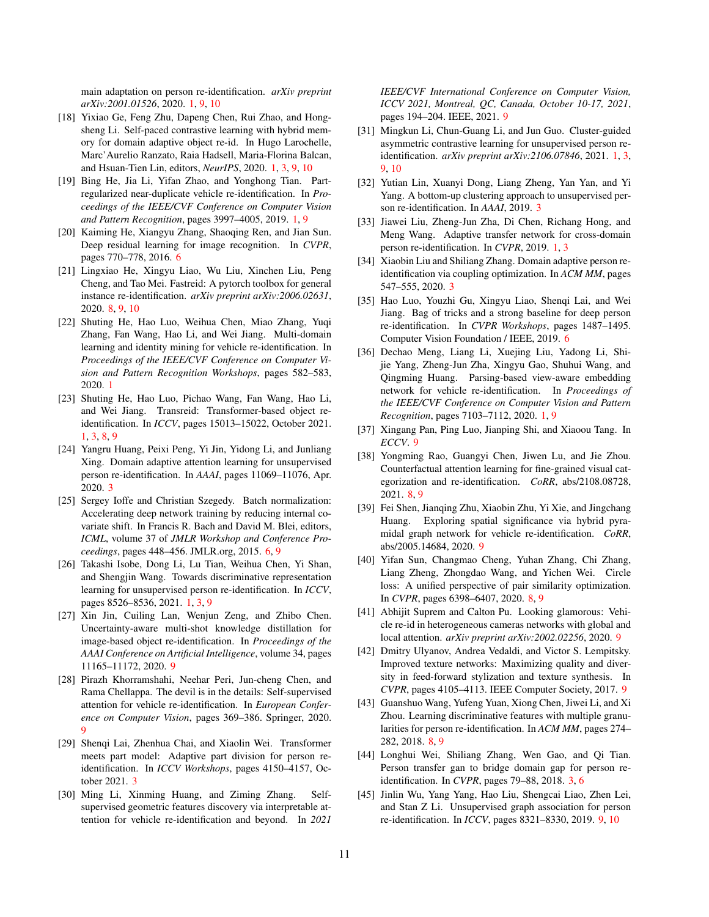main adaptation on person re-identification. *arXiv preprint arXiv:2001.01526*, 2020. [1,](#page-0-0) [9,](#page-8-3) [10](#page-9-19)

- <span id="page-10-4"></span>[18] Yixiao Ge, Feng Zhu, Dapeng Chen, Rui Zhao, and Hongsheng Li. Self-paced contrastive learning with hybrid memory for domain adaptive object re-id. In Hugo Larochelle, Marc'Aurelio Ranzato, Raia Hadsell, Maria-Florina Balcan, and Hsuan-Tien Lin, editors, *NeurIPS*, 2020. [1,](#page-0-0) [3,](#page-2-1) [9,](#page-8-3) [10](#page-9-19)
- <span id="page-10-0"></span>[19] Bing He, Jia Li, Yifan Zhao, and Yonghong Tian. Partregularized near-duplicate vehicle re-identification. In *Proceedings of the IEEE/CVF Conference on Computer Vision and Pattern Recognition*, pages 3997–4005, 2019. [1,](#page-0-0) [9](#page-8-3)
- <span id="page-10-13"></span>[20] Kaiming He, Xiangyu Zhang, Shaoqing Ren, and Jian Sun. Deep residual learning for image recognition. In *CVPR*, pages 770–778, 2016. [6](#page-5-3)
- <span id="page-10-19"></span>[21] Lingxiao He, Xingyu Liao, Wu Liu, Xinchen Liu, Peng Cheng, and Tao Mei. Fastreid: A pytorch toolbox for general instance re-identification. *arXiv preprint arXiv:2006.02631*, 2020. [8,](#page-7-4) [9,](#page-8-3) [10](#page-9-19)
- <span id="page-10-1"></span>[22] Shuting He, Hao Luo, Weihua Chen, Miao Zhang, Yuqi Zhang, Fan Wang, Hao Li, and Wei Jiang. Multi-domain learning and identity mining for vehicle re-identification. In *Proceedings of the IEEE/CVF Conference on Computer Vision and Pattern Recognition Workshops*, pages 582–583, 2020. [1](#page-0-0)
- <span id="page-10-2"></span>[23] Shuting He, Hao Luo, Pichao Wang, Fan Wang, Hao Li, and Wei Jiang. Transreid: Transformer-based object reidentification. In *ICCV*, pages 15013–15022, October 2021. [1,](#page-0-0) [3,](#page-2-1) [8,](#page-7-4) [9](#page-8-3)
- <span id="page-10-10"></span>[24] Yangru Huang, Peixi Peng, Yi Jin, Yidong Li, and Junliang Xing. Domain adaptive attention learning for unsupervised person re-identification. In *AAAI*, pages 11069–11076, Apr. 2020. [3](#page-2-1)
- <span id="page-10-15"></span>[25] Sergey Ioffe and Christian Szegedy. Batch normalization: Accelerating deep network training by reducing internal covariate shift. In Francis R. Bach and David M. Blei, editors, *ICML*, volume 37 of *JMLR Workshop and Conference Proceedings*, pages 448–456. JMLR.org, 2015. [6,](#page-5-3) [9](#page-8-3)
- <span id="page-10-7"></span>[26] Takashi Isobe, Dong Li, Lu Tian, Weihua Chen, Yi Shan, and Shengjin Wang. Towards discriminative representation learning for unsupervised person re-identification. In *ICCV*, pages 8526–8536, 2021. [1,](#page-0-0) [3,](#page-2-1) [9](#page-8-3)
- <span id="page-10-20"></span>[27] Xin Jin, Cuiling Lan, Wenjun Zeng, and Zhibo Chen. Uncertainty-aware multi-shot knowledge distillation for image-based object re-identification. In *Proceedings of the AAAI Conference on Artificial Intelligence*, volume 34, pages 11165–11172, 2020. [9](#page-8-3)
- <span id="page-10-21"></span>[28] Pirazh Khorramshahi, Neehar Peri, Jun-cheng Chen, and Rama Chellappa. The devil is in the details: Self-supervised attention for vehicle re-identification. In *European Conference on Computer Vision*, pages 369–386. Springer, 2020. [9](#page-8-3)
- <span id="page-10-8"></span>[29] Shenqi Lai, Zhenhua Chai, and Xiaolin Wei. Transformer meets part model: Adaptive part division for person reidentification. In *ICCV Workshops*, pages 4150–4157, October 2021. [3](#page-2-1)
- <span id="page-10-24"></span>[30] Ming Li, Xinming Huang, and Ziming Zhang. Selfsupervised geometric features discovery via interpretable attention for vehicle re-identification and beyond. In *2021*

*IEEE/CVF International Conference on Computer Vision, ICCV 2021, Montreal, QC, Canada, October 10-17, 2021*, pages 194–204. IEEE, 2021. [9](#page-8-3)

- <span id="page-10-6"></span>[31] Mingkun Li, Chun-Guang Li, and Jun Guo. Cluster-guided asymmetric contrastive learning for unsupervised person reidentification. *arXiv preprint arXiv:2106.07846*, 2021. [1,](#page-0-0) [3,](#page-2-1) [9,](#page-8-3) [10](#page-9-19)
- <span id="page-10-12"></span>[32] Yutian Lin, Xuanyi Dong, Liang Zheng, Yan Yan, and Yi Yang. A bottom-up clustering approach to unsupervised person re-identification. In *AAAI*, 2019. [3](#page-2-1)
- <span id="page-10-5"></span>[33] Jiawei Liu, Zheng-Jun Zha, Di Chen, Richang Hong, and Meng Wang. Adaptive transfer network for cross-domain person re-identification. In *CVPR*, 2019. [1,](#page-0-0) [3](#page-2-1)
- <span id="page-10-11"></span>[34] Xiaobin Liu and Shiliang Zhang. Domain adaptive person reidentification via coupling optimization. In *ACM MM*, pages 547–555, 2020. [3](#page-2-1)
- <span id="page-10-14"></span>[35] Hao Luo, Youzhi Gu, Xingyu Liao, Shenqi Lai, and Wei Jiang. Bag of tricks and a strong baseline for deep person re-identification. In *CVPR Workshops*, pages 1487–1495. Computer Vision Foundation / IEEE, 2019. [6](#page-5-3)
- <span id="page-10-3"></span>[36] Dechao Meng, Liang Li, Xuejing Liu, Yadong Li, Shijie Yang, Zheng-Jun Zha, Xingyu Gao, Shuhui Wang, and Qingming Huang. Parsing-based view-aware embedding network for vehicle re-identification. In *Proceedings of the IEEE/CVF Conference on Computer Vision and Pattern Recognition*, pages 7103–7112, 2020. [1,](#page-0-0) [9](#page-8-3)
- <span id="page-10-27"></span>[37] Xingang Pan, Ping Luo, Jianping Shi, and Xiaoou Tang. In *ECCV*. [9](#page-8-3)
- <span id="page-10-17"></span>[38] Yongming Rao, Guangyi Chen, Jiwen Lu, and Jie Zhou. Counterfactual attention learning for fine-grained visual categorization and re-identification. *CoRR*, abs/2108.08728, 2021. [8,](#page-7-4) [9](#page-8-3)
- <span id="page-10-22"></span>[39] Fei Shen, Jianqing Zhu, Xiaobin Zhu, Yi Xie, and Jingchang Huang. Exploring spatial significance via hybrid pyramidal graph network for vehicle re-identification. *CoRR*, abs/2005.14684, 2020. [9](#page-8-3)
- <span id="page-10-18"></span>[40] Yifan Sun, Changmao Cheng, Yuhan Zhang, Chi Zhang, Liang Zheng, Zhongdao Wang, and Yichen Wei. Circle loss: A unified perspective of pair similarity optimization. In *CVPR*, pages 6398–6407, 2020. [8,](#page-7-4) [9](#page-8-3)
- <span id="page-10-23"></span>[41] Abhijit Suprem and Calton Pu. Looking glamorous: Vehicle re-id in heterogeneous cameras networks with global and local attention. *arXiv preprint arXiv:2002.02256*, 2020. [9](#page-8-3)
- <span id="page-10-26"></span>[42] Dmitry Ulyanov, Andrea Vedaldi, and Victor S. Lempitsky. Improved texture networks: Maximizing quality and diversity in feed-forward stylization and texture synthesis. In *CVPR*, pages 4105–4113. IEEE Computer Society, 2017. [9](#page-8-3)
- <span id="page-10-16"></span>[43] Guanshuo Wang, Yufeng Yuan, Xiong Chen, Jiwei Li, and Xi Zhou. Learning discriminative features with multiple granularities for person re-identification. In *ACM MM*, pages 274– 282, 2018. [8,](#page-7-4) [9](#page-8-3)
- <span id="page-10-9"></span>[44] Longhui Wei, Shiliang Zhang, Wen Gao, and Qi Tian. Person transfer gan to bridge domain gap for person reidentification. In *CVPR*, pages 79–88, 2018. [3,](#page-2-1) [6](#page-5-3)
- <span id="page-10-25"></span>[45] Jinlin Wu, Yang Yang, Hao Liu, Shengcai Liao, Zhen Lei, and Stan Z Li. Unsupervised graph association for person re-identification. In *ICCV*, pages 8321–8330, 2019. [9,](#page-8-3) [10](#page-9-19)